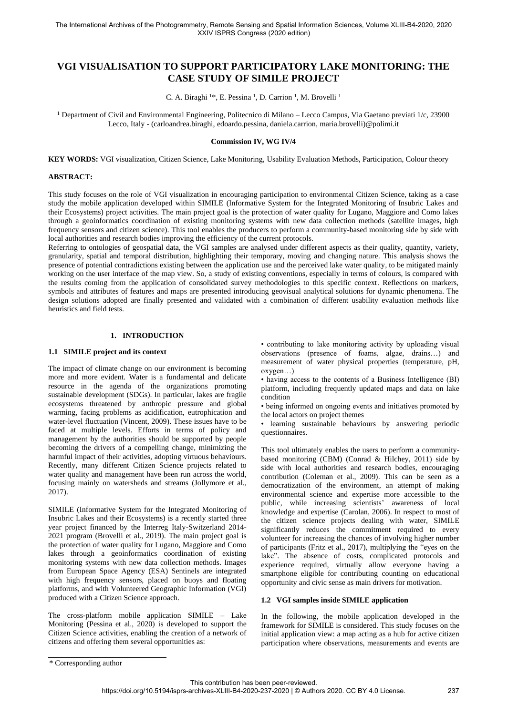# **VGI VISUALISATION TO SUPPORT PARTICIPATORY LAKE MONITORING: THE CASE STUDY OF SIMILE PROJECT**

C. A. Biraghi <sup>1\*</sup>, E. Pessina <sup>1</sup>, D. Carrion <sup>1</sup>, M. Brovelli <sup>1</sup>

<sup>1</sup> Department of Civil and Environmental Engineering, Politecnico di Milano – Lecco Campus, Via Gaetano previati 1/c, 23900 Lecco, Italy - (carloandrea.biraghi, edoardo.pessina, daniela.carrion, maria.brovelli)@polimi.it

### **Commission IV, WG IV/4**

**KEY WORDS:** VGI visualization, Citizen Science, Lake Monitoring, Usability Evaluation Methods, Participation, Colour theory

#### **ABSTRACT:**

This study focuses on the role of VGI visualization in encouraging participation to environmental Citizen Science, taking as a case study the mobile application developed within SIMILE (Informative System for the Integrated Monitoring of Insubric Lakes and their Ecosystems) project activities. The main project goal is the protection of water quality for Lugano, Maggiore and Como lakes through a geoinformatics coordination of existing monitoring systems with new data collection methods (satellite images, high frequency sensors and citizen science). This tool enables the producers to perform a community-based monitoring side by side with local authorities and research bodies improving the efficiency of the current protocols.

Referring to ontologies of geospatial data, the VGI samples are analysed under different aspects as their quality, quantity, variety, granularity, spatial and temporal distribution, highlighting their temporary, moving and changing nature. This analysis shows the presence of potential contradictions existing between the application use and the perceived lake water quality, to be mitigated mainly working on the user interface of the map view. So, a study of existing conventions, especially in terms of colours, is compared with the results coming from the application of consolidated survey methodologies to this specific context. Reflections on markers, symbols and attributes of features and maps are presented introducing geovisual analytical solutions for dynamic phenomena. The design solutions adopted are finally presented and validated with a combination of different usability evaluation methods like heuristics and field tests.

# **1. INTRODUCTION**

#### **1.1 SIMILE project and its context**

The impact of climate change on our environment is becoming more and more evident. Water is a fundamental and delicate resource in the agenda of the organizations promoting sustainable development (SDGs). In particular, lakes are fragile ecosystems threatened by anthropic pressure and global warming, facing problems as acidification, eutrophication and water-level fluctuation (Vincent, 2009). These issues have to be faced at multiple levels. Efforts in terms of policy and management by the authorities should be supported by people becoming the drivers of a compelling change, minimizing the harmful impact of their activities, adopting virtuous behaviours. Recently, many different Citizen Science projects related to water quality and management have been run across the world, focusing mainly on watersheds and streams (Jollymore et al., 2017).

SIMILE (Informative System for the Integrated Monitoring of Insubric Lakes and their Ecosystems) is a recently started three year project financed by the Interreg Italy-Switzerland 2014- 2021 program (Brovelli et al., 2019). The main project goal is the protection of water quality for Lugano, Maggiore and Como lakes through a geoinformatics coordination of existing monitoring systems with new data collection methods. Images from European Space Agency (ESA) Sentinels are integrated with high frequency sensors, placed on buoys and floating platforms, and with Volunteered Geographic Information (VGI) produced with a Citizen Science approach.

The cross-platform mobile application SIMILE – Lake Monitoring (Pessina et al., 2020) is developed to support the Citizen Science activities, enabling the creation of a network of citizens and offering them several opportunities as:

• contributing to lake monitoring activity by uploading visual observations (presence of foams, algae, drains…) and measurement of water physical properties (temperature, pH, oxygen…)

• having access to the contents of a Business Intelligence (BI) platform, including frequently updated maps and data on lake condition

• being informed on ongoing events and initiatives promoted by the local actors on project themes

• learning sustainable behaviours by answering periodic questionnaires.

This tool ultimately enables the users to perform a communitybased monitoring (CBM) (Conrad & Hilchey, 2011) side by side with local authorities and research bodies, encouraging contribution (Coleman et al., 2009). This can be seen as a democratization of the environment, an attempt of making environmental science and expertise more accessible to the public, while increasing scientists' awareness of local knowledge and expertise (Carolan, 2006). In respect to most of the citizen science projects dealing with water, SIMILE significantly reduces the commitment required to every volunteer for increasing the chances of involving higher number of participants (Fritz et al., 2017), multiplying the "eyes on the lake". The absence of costs, complicated protocols and experience required, virtually allow everyone having a smartphone eligible for contributing counting on educational opportunity and civic sense as main drivers for motivation.

# **1.2 VGI samples inside SIMILE application**

In the following, the mobile application developed in the framework for SIMILE is considered. This study focuses on the initial application view: a map acting as a hub for active citizen participation where observations, measurements and events are

<sup>\*</sup> Corresponding author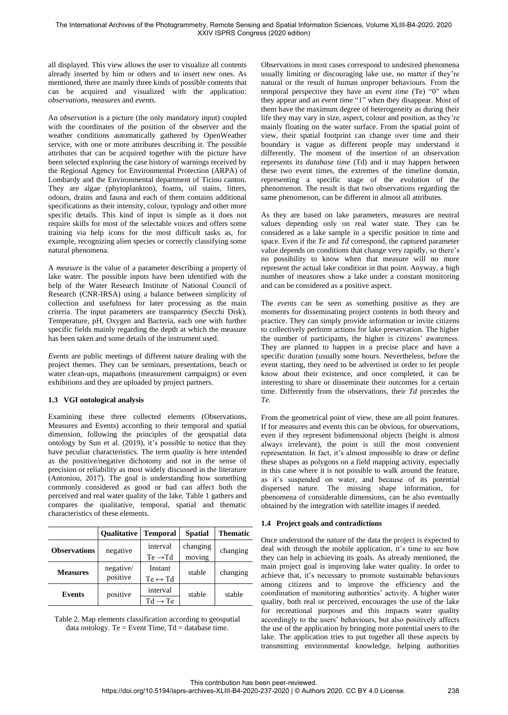all displayed. This view allows the user to visualize all contents already inserted by him or others and to insert new ones. As mentioned, there are mainly three kinds of possible contents that can be acquired and visualized with the application: *observations*, *measures* and *events*.

An *observation* is a picture (the only mandatory input) coupled with the coordinates of the position of the observer and the weather conditions automatically gathered by OpenWeather service, with one or more attributes describing it. The possible attributes that can be acquired together with the picture have been selected exploring the case history of warnings received by the Regional Agency for Environmental Protection (ARPA) of Lombardy and the Environmental department of Ticino canton. They are algae (phytoplankton), foams, oil stains, litters, odours, drains and fauna and each of them contains additional specifications as their intensity, colour, typology and other more specific details. This kind of input is simple as it does not require skills for most of the selectable voices and offers some training via help icons for the most difficult tasks as, for example, recognizing alien species or correctly classifying some natural phenomena.

A *measure* is the value of a parameter describing a property of lake water. The possible inputs have been identified with the help of the Water Research Institute of National Council of Research (CNR-IRSA) using a balance between simplicity of collection and usefulness for later processing as the main criteria. The input parameters are transparency (Secchi Disk), Temperature, pH, Oxygen and Bacteria, each one with further specific fields mainly regarding the depth at which the measure has been taken and some details of the instrument used.

*Events* are public meetings of different nature dealing with the project themes. They can be seminars, presentations, beach or water clean-ups, mapathons (measurement campaigns) or even exhibitions and they are uploaded by project partners.

# **1.3 VGI ontological analysis**

Examining these three collected elements (Observations, Measures and Events) according to their temporal and spatial dimension, following the principles of the geospatial data ontology by Sun et al. (2019), it's possible to notice that they have peculiar characteristics. The term *quality* is here intended as the positive/negative dichotomy and not in the sense of precision or reliability as most widely discussed in the literature (Antoniou, 2017). The goal is understanding how something commonly considered as good or bad can affect both the perceived and real water quality of the lake. Table 1 gathers and compares the qualitative, temporal, spatial and thematic characteristics of these elements.

|                     | <b>Oualitative</b> | <b>Temporal</b>         | <b>Spatial</b> | <b>Thematic</b> |  |
|---------------------|--------------------|-------------------------|----------------|-----------------|--|
| <b>Observations</b> | negative           | interval                | changing       | changing        |  |
|                     |                    | $Te \rightarrow Td$     | moving         |                 |  |
| <b>Measures</b>     | negative/          | Instant                 | stable         | changing        |  |
|                     | positive           | $Te \leftrightarrow Td$ |                |                 |  |
| <b>Events</b>       | positive           | interval                | stable         | stable          |  |
|                     |                    | $Td \rightarrow Te$     |                |                 |  |

Table 2. Map elements classification according to geospatial data ontology. Te = Event Time,  $Td = d$ atabase time.

Observations in most cases correspond to undesired phenomena usually limiting or discouraging lake use, no matter if they're natural or the result of human unproper behaviours. From the temporal perspective they have an *event time* (Te) "0" when they appear and an *event time* "1" when they disappear. Most of them have the maximum degree of heterogeneity as during their life they may vary in size, aspect, colour and position, as they're mainly floating on the water surface. From the spatial point of view, their spatial footprint can change over time and their boundary is vague as different people may understand it differently. The moment of the insertion of an observation represents its *database time* (Td) and it may happen between these two event times, the extremes of the timeline domain, representing a specific stage of the evolution of the phenomenon. The result is that two observations regarding the same phenomenon, can be different in almost all attributes.

As they are based on lake parameters, measures are neutral values depending only on real water state. They can be considered as a lake sample in a specific position in time and space. Even if the *Te* and *Td* correspond, the captured parameter value depends on conditions that change very rapidly, so there's no possibility to know when that measure will no more represent the actual lake condition in that point. Anyway, a high number of measures show a lake under a constant monitoring and can be considered as a positive aspect.

The *events* can be seen as something positive as they are moments for disseminating project contents in both theory and practice. They can simply provide information or invite citizens to collectively perform actions for lake preservation. The higher the number of participants, the higher is citizens' awareness. They are planned to happen in a precise place and have a specific duration (usually some hours. Nevertheless, before the event starting, they need to be advertised in order to let people know about their existence, and once completed, it can be interesting to share or disseminate their outcomes for a certain time. Differently from the observations, their *Td* precedes the *Te*.

From the geometrical point of view, these are all point features. If for measures and events this can be obvious, for observations, even if they represent bidimensional objects (height is almost always irrelevant), the point is still the most convenient representation. In fact, it's almost impossible to draw or define these shapes as polygons on a field mapping activity, especially in this case where it is not possible to walk around the feature, as it's suspended on water, and because of its potential dispersed nature. The missing shape information, for phenomena of considerable dimensions, can be also eventually obtained by the integration with satellite images if needed.

# **1.4 Project goals and contradictions**

Once understood the nature of the data the project is expected to deal with through the mobile application, it's time to see how they can help in achieving its goals. As already mentioned, the main project goal is improving lake water quality. In order to achieve that, it's necessary to promote sustainable behaviours among citizens and to improve the efficiency and the coordination of monitoring authorities' activity. A higher water quality, both real or perceived, encourages the use of the lake for recreational purposes and this impacts water quality accordingly to the users' behaviours, but also positively affects the use of the application by bringing more potential users to the lake. The application tries to put together all these aspects by transmitting environmental knowledge, helping authorities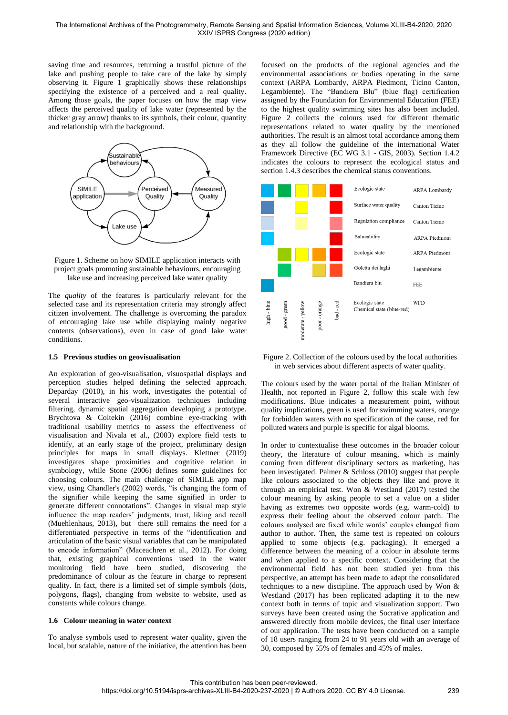saving time and resources, returning a trustful picture of the lake and pushing people to take care of the lake by simply observing it. Figure 1 graphically shows these relationships specifying the existence of a perceived and a real quality. Among those goals, the paper focuses on how the map view affects the perceived quality of lake water (represented by the thicker gray arrow) thanks to its symbols, their colour, quantity and relationship with the background.



Figure 1. Scheme on how SIMILE application interacts with project goals promoting sustainable behaviours, encouraging lake use and increasing perceived lake water quality

The *quality* of the features is particularly relevant for the selected case and its representation criteria may strongly affect citizen involvement. The challenge is overcoming the paradox of encouraging lake use while displaying mainly negative contents (observations), even in case of good lake water conditions.

#### **1.5 Previous studies on geovisualisation**

An exploration of geo-visualisation, visuospatial displays and perception studies helped defining the selected approach. Deparday (2010), in his work, investigates the potential of several interactive geo-visualization techniques including filtering, dynamic spatial aggregation developing a prototype. Brychtova & Coltekin (2016) combine eye-tracking with traditional usability metrics to assess the effectiveness of visualisation and Nivala et al., (2003) explore field tests to identify, at an early stage of the project, preliminary design principles for maps in small displays. Klettner (2019) investigates shape proximities and cognitive relation in symbology, while Stone (2006) defines some guidelines for choosing colours. The main challenge of SIMILE app map view, using Chandler's (2002) words, "is changing the form of the signifier while keeping the same signified in order to generate different connotations". Changes in visual map style influence the map readers' judgments, trust, liking and recall (Muehlenhaus, 2013), but there still remains the need for a differentiated perspective in terms of the "identification and articulation of the basic visual variables that can be manipulated to encode information" (Maceachren et al., 2012). For doing that, existing graphical conventions used in the water monitoring field have been studied, discovering the predominance of colour as the feature in charge to represent quality. In fact, there is a limited set of simple symbols (dots, polygons, flags), changing from website to website, used as constants while colours change.

#### **1.6 Colour meaning in water context**

To analyse symbols used to represent water quality, given the local, but scalable, nature of the initiative, the attention has been focused on the products of the regional agencies and the environmental associations or bodies operating in the same context (ARPA Lombardy, ARPA Piedmont, Ticino Canton, Legambiente). The "Bandiera Blu" (blue flag) certification assigned by the Foundation for Environmental Education (FEE) to the highest quality swimming sites has also been included. Figure 2 collects the colours used for different thematic representations related to water quality by the mentioned authorities. The result is an almost total accordance among them as they all follow the guideline of the international Water Framework Directive (EC WG 3.1 - GIS, 2003). Section 1.4.2 indicates the colours to represent the ecological status and section 1.4.3 describes the chemical status conventions.



Figure 2. Collection of the colours used by the local authorities in web services about different aspects of water quality.

The colours used by the water portal of the Italian Minister of Health, not reported in Figure 2, follow this scale with few modifications. Blue indicates a measurement point, without quality implications, green is used for swimming waters, orange for forbidden waters with no specification of the cause, red for polluted waters and purple is specific for algal blooms.

In order to contextualise these outcomes in the broader colour theory, the literature of colour meaning, which is mainly coming from different disciplinary sectors as marketing, has been investigated. Palmer & Schloss (2010) suggest that people like colours associated to the objects they like and prove it through an empirical test. Won & Westland (2017) tested the colour meaning by asking people to set a value on a slider having as extremes two opposite words (e.g. warm-cold) to express their feeling about the observed colour patch. The colours analysed are fixed while words' couples changed from author to author. Then, the same test is repeated on colours applied to some objects (e.g. packaging). It emerged a difference between the meaning of a colour in absolute terms and when applied to a specific context. Considering that the environmental field has not been studied yet from this perspective, an attempt has been made to adapt the consolidated techniques to a new discipline. The approach used by Won & Westland (2017) has been replicated adapting it to the new context both in terms of topic and visualization support. Two surveys have been created using the Socrative application and answered directly from mobile devices, the final user interface of our application. The tests have been conducted on a sample of 18 users ranging from 24 to 91 years old with an average of 30, composed by 55% of females and 45% of males.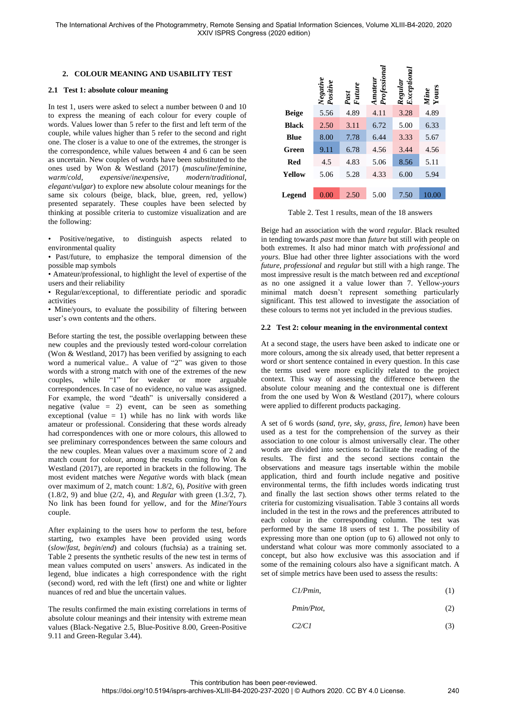### **2. COLOUR MEANING AND USABILITY TEST**

#### **2.1 Test 1: absolute colour meaning**

In test 1, users were asked to select a number between 0 and 10 to express the meaning of each colour for every couple of words. Values lower than 5 refer to the first and left term of the couple, while values higher than 5 refer to the second and right one. The closer is a value to one of the extremes, the stronger is the correspondence, while values between 4 and 6 can be seen as uncertain. New couples of words have been substituted to the ones used by Won & Westland (2017) (*masculine*/*feminine*, *warm*/*cold*, *expensive*/*inexpensive*, *modern*/*traditional*, *elegant*/*vulgar*) to explore new absolute colour meanings for the same six colours (beige, black, blue, green, red, yellow) presented separately. These couples have been selected by thinking at possible criteria to customize visualization and are the following:

• Positive/negative, to distinguish aspects related to environmental quality

• Past/future, to emphasize the temporal dimension of the possible map symbols

• Amateur/professional, to highlight the level of expertise of the users and their reliability

• Regular/exceptional, to differentiate periodic and sporadic activities

• Mine/yours, to evaluate the possibility of filtering between user's own contents and the others.

Before starting the test, the possible overlapping between these new couples and the previously tested word-colour correlation (Won & Westland, 2017) has been verified by assigning to each word a numerical value.. A value of "2" was given to those words with a strong match with one of the extremes of the new couples, while "1" for weaker or more arguable correspondences. In case of no evidence, no value was assigned. For example, the word "death" is universally considered a negative (value  $= 2$ ) event, can be seen as something exceptional (value  $= 1$ ) while has no link with words like amateur or professional. Considering that these words already had correspondences with one or more colours, this allowed to see preliminary correspondences between the same colours and the new couples. Mean values over a maximum score of 2 and match count for colour, among the results coming fro Won & Westland (2017), are reported in brackets in the following. The most evident matches were *Negative* words with black (mean over maximum of 2, match count: 1.8/2, 6), *Positive* with green (1.8/2, 9) and blue (2/2, 4), and *Regular* with green (1.3/2, 7). No link has been found for yellow, and for the *Mine*/*Yours* couple.

After explaining to the users how to perform the test, before starting, two examples have been provided using words (*slow*/*fast*, *begin*/*end*) and colours (fuchsia) as a training set. Table 2 presents the synthetic results of the new test in terms of mean values computed on users' answers. As indicated in the legend, blue indicates a high correspondence with the right (second) word, red with the left (first) one and white or lighter nuances of red and blue the uncertain values.

The results confirmed the main existing correlations in terms of absolute colour meanings and their intensity with extreme mean values (Black-Negative 2.5, Blue-Positive 8.00, Green-Positive 9.11 and Green-Regular 3.44).

|              | Negative<br>Positive | Past<br>Future | Professiona<br>Amateur | Exceptional<br>Regular | <i>Mine</i><br>Yours |
|--------------|----------------------|----------------|------------------------|------------------------|----------------------|
| <b>Beige</b> | 5.56                 | 4.89           | 4.11                   | 3.28                   | 4.89                 |
| <b>Black</b> | 2.50                 | 3.11           | 6.72                   | 5.00                   | 6.33                 |
| Blue         | 8.00                 | 7.78           | 6.44                   | 3.33                   | 5.67                 |
| Green        | 9.11                 | 6.78           | 4.56                   | 3.44                   | 4.56                 |
| <b>Red</b>   | 4.5                  | 4.83           | 5.06                   | 8.56                   | 5.11                 |
| Yellow       | 5.06                 | 5.28           | 4.33                   | 6.00                   | 5.94                 |
| Legend       | 0.00                 | 2.50           | 5.00                   | 7.50                   | 10.00                |

Table 2. Test 1 results, mean of the 18 answers

Beige had an association with the word *regular*. Black resulted in tending towards *past* more than *future* but still with people on both extremes. It also had minor match with *professional* and *yours*. Blue had other three lighter associations with the word *future, professional* and *regular* but still with a high range. The most impressive result is the match between red and *exceptional* as no one assigned it a value lower than 7. Yellow-*yours* minimal match doesn't represent something particularly significant. This test allowed to investigate the association of these colours to terms not yet included in the previous studies.

#### **2.2 Test 2: colour meaning in the environmental context**

At a second stage, the users have been asked to indicate one or more colours, among the six already used, that better represent a word or short sentence contained in every question. In this case the terms used were more explicitly related to the project context. This way of assessing the difference between the absolute colour meaning and the contextual one is different from the one used by Won & Westland (2017), where colours were applied to different products packaging.

A set of 6 words (*sand*, *tyre*, *sky*, *grass*, *fire*, *lemon*) have been used as a test for the comprehension of the survey as their association to one colour is almost universally clear. The other words are divided into sections to facilitate the reading of the results. The first and the second sections contain the observations and measure tags insertable within the mobile application, third and fourth include negative and positive environmental terms, the fifth includes words indicating trust and finally the last section shows other terms related to the criteria for customizing visualisation. Table 3 contains all words included in the test in the rows and the preferences attributed to each colour in the corresponding column. The test was performed by the same 18 users of test 1. The possibility of expressing more than one option (up to 6) allowed not only to understand what colour was more commonly associated to a concept, but also how exclusive was this association and if some of the remaining colours also have a significant match. A set of simple metrics have been used to assess the results:

$$
Cl/Pmin, \tag{1}
$$

 *Pmin/Ptot,* (2)

$$
C2/C1 \tag{3}
$$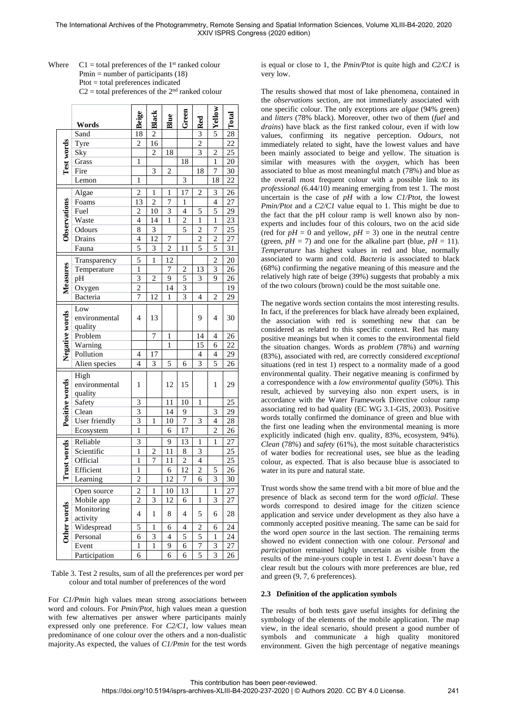Where  $Cl =$  total preferences of the  $1<sup>st</sup>$  ranked colour Pmin  $=$  number of participants (18) Ptot = total preferences indicated  $C2 =$  total preferences of the  $2<sup>nd</sup>$  ranked colour

|                    | Words                                 | Beige                | Black                   | Blue           | Green                    | Red                     | <b>System</b>  | Total           |
|--------------------|---------------------------------------|----------------------|-------------------------|----------------|--------------------------|-------------------------|----------------|-----------------|
|                    | Sand                                  | 18                   | $\overline{2}$          |                |                          | $\overline{3}$          |                | $\overline{28}$ |
|                    | Tyre                                  | $\overline{2}$       | 16                      |                |                          | $\overline{2}$          |                | $\overline{22}$ |
|                    | Sky                                   |                      | $\overline{c}$          | 18             |                          | $\overline{\mathbf{3}}$ | $\overline{c}$ | $\overline{25}$ |
|                    | Test words<br>Grass<br>Fire           |                      |                         |                | 18                       |                         | 1              | 20              |
|                    |                                       |                      | 3                       | 2              |                          | 18                      | 7              | 30              |
|                    | Lemon                                 | $\mathbf{1}$         |                         |                | 3                        |                         | 18             | 22              |
|                    | Algae                                 | 2<br>$\overline{13}$ | 1                       | 1              | 17                       | 2                       | 3              | 26              |
|                    | <b>Observations</b><br>Foams          |                      | $\overline{2}$          | 7              | 1                        |                         | $\overline{4}$ | 27              |
|                    | Fuel                                  | $\overline{c}$       | 10                      | 3              | $\overline{\mathcal{L}}$ | 5                       | 5              | 29              |
|                    | Waste                                 | $\overline{4}$       | 14                      | $\mathbf{1}$   | $\overline{2}$           | $\mathbf{1}$            | $\mathbf{1}$   | $\overline{23}$ |
|                    | Odours                                | 8                    | 3                       |                | 5                        | $\overline{c}$          | 7              | 25              |
|                    | Drains                                | $\overline{4}$       | 12                      | 7              |                          | $\overline{2}$          | $\overline{c}$ | 27              |
|                    | Fauna                                 | 5                    | 3                       | $\overline{c}$ | 11                       | $\overline{5}$          | 5              | 31              |
|                    | Transparency                          | 5                    | $\mathbf{1}$            | 12             |                          |                         | $\overline{c}$ | 20              |
|                    | Temperature                           | $\mathbf{1}$         |                         | 7              | $\overline{c}$           | 13                      | 3              | 26              |
|                    | pH                                    | $\overline{3}$       | $\overline{2}$          | 9              | 5                        | 3                       | 9              | 26              |
| Measures           | Oxygen                                | $\overline{c}$       |                         | 14             | 3                        |                         |                | 19              |
|                    | Bacteria                              | 7                    | 12                      | $\mathbf{1}$   | $\overline{3}$           | $\overline{4}$          | $\overline{c}$ | 29              |
|                    |                                       |                      |                         |                |                          |                         |                |                 |
|                    | Low<br>environmental                  | 4                    | 13                      |                |                          | 9                       | 4              | 30              |
|                    | quality                               |                      |                         |                |                          |                         |                |                 |
|                    | Problem                               |                      | 7                       | $\mathbf{1}$   |                          | 14                      | 4              | 26              |
| Negative words     | Warning                               |                      |                         | $\mathbf{1}$   |                          | 15                      | 6              | 22              |
|                    | Pollution                             | 4                    | 17                      |                |                          | $\overline{4}$          | $\overline{4}$ | 29              |
|                    | Alien species                         | 4                    | 3                       | 5              |                          | 3                       | 5              | 26              |
|                    |                                       |                      |                         |                | 6                        |                         |                |                 |
|                    | High                                  |                      |                         |                |                          |                         |                |                 |
|                    | environmental                         | 1                    |                         | 12             | 15                       |                         | 1              | 29              |
| Positive words     | quality                               |                      |                         |                |                          |                         |                |                 |
|                    | Safety                                | 3                    |                         | 11             | 10                       | $\mathbf{1}$            |                | 25              |
|                    | Clean                                 | 3                    |                         | 14             | 9                        |                         | 3              | 29              |
|                    | User friendly                         | $\overline{3}$       | $\mathbf{1}$            | 10             | $\overline{7}$           | 3                       | $\overline{4}$ | 28              |
|                    | Ecosystem                             | $\mathbf{1}$         |                         | 6              | 17                       |                         | $\overline{c}$ | 26              |
| <b>Trust words</b> | Reliable                              | 3                    |                         | 9              | 13                       | 1                       | 1              | 27              |
|                    | Scientific                            | $\mathbf{1}$         | $\overline{c}$          | 11             | 8                        | 3                       |                | $2\overline{5}$ |
|                    | Official                              | $\mathbf{1}$         | $\overline{7}$          | 11             | $\overline{2}$           | $\overline{4}$          |                | $\overline{25}$ |
|                    | Efficient                             | 1                    |                         | 6              | 12                       | $\overline{c}$          | 5              | 26              |
|                    | Learning                              | $\overline{c}$       |                         | 12             | 7                        | 6                       | 3              | 30              |
|                    | Open source                           | $\overline{c}$       | 1                       | 10             | 13                       |                         | 1              | 27              |
|                    | Mobile app                            | $\overline{2}$       | $\overline{\mathbf{3}}$ | 12             | 6                        | 1                       | 3              | 27              |
|                    | Other words<br>Monitoring<br>activity |                      | $\,1$                   | 8              | 4                        | 5                       | 6              | 28              |
|                    |                                       |                      |                         |                |                          |                         |                |                 |
|                    | Widespread                            | 5                    | 1                       | 6              | 4                        | 2                       | 6              | 24              |
|                    | Personal                              | 6                    | 3                       | 4              | 5                        | 5                       | 1              | 24              |
|                    | Event                                 | 1                    | $\mathbf{1}$            | 9              | 6                        | 7                       | 3              | 27              |
|                    | Participation                         | 6                    |                         | 6              | 6                        | 5                       | 3              | 26              |

Table 3. Test 2 results, sum of all the preferences per word per colour and total number of preferences of the word

For *C1/Pmin* high values mean strong associations between word and colours. For *Pmin/Ptot,* high values mean a question with few alternatives per answer where participants mainly expressed only one preference. For *C2/C1,* low values mean predominance of one colour over the others and a non-dualistic majority.As expected, the values of *C1/Pmin* for the test words

is equal or close to 1, the *Pmin/Ptot* is quite high and *C2/C1* is very low.

The results showed that most of lake phenomena, contained in the *observations* section, are not immediately associated with one specific colour. The only exceptions are *algae* (94% green) and *litters* (78% black). Moreover, other two of them (*fuel* and *drains*) have black as the first ranked colour, even if with low values, confirming its negative perception. *Odours*, not immediately related to sight, have the lowest values and have been mainly associated to beige and yellow. The situation is similar with measures with the *oxygen*, which has been associated to blue as most meaningful match (78%) and blue as the overall most frequent colour with a possible link to its *professional* (6.44/10) meaning emerging from test 1. The most uncertain is the case of *pH* with a low *C1/Ptot*, the lowest *Pmin/Ptot* and a *C2/C1* value equal to 1. This might be due to the fact that the pH colour ramp is well known also by nonexperts and includes four of this colours, two on the acid side (red for  $pH = 0$  and yellow,  $pH = 3$ ) one in the neutral centre (green,  $pH = 7$ ) and one for the alkaline part (blue,  $pH = 11$ ). *Temperature* has highest values in red and blue, normally associated to warm and cold. *Bacteria* is associated to black (68%) confirming the negative meaning of this measure and the relatively high rate of beige (39%) suggests that probably a mix of the two colours (brown) could be the most suitable one.

The negative words section contains the most interesting results. In fact, if the preferences for black have already been explained, the association with red is something new that can be considered as related to this specific context. Red has many positive meanings but when it comes to the environmental field the situation changes. Words as *problem* (78%) and *warning* (83%), associated with red, are correctly considered *exceptional* situations (red in test 1) respect to a normality made of a good environmental quality. Their negative meaning is confirmed by a correspondence with a *low environmental quality* (50%). This result, achieved by surveying also non expert users, is in accordance with the Water Framework Directive colour ramp associating red to bad quality (EC WG 3.1-GIS, 2003). Positive words totally confirmed the dominance of green and blue with the first one leading when the environmental meaning is more explicitly indicated (high env. quality, 83%, ecosystem, 94%). *Clean* (78%) and *safety* (61%), the most suitable characteristics of water bodies for recreational uses, see blue as the leading colour, as expected. That is also because blue is associated to water in its pure and natural state.

Trust words show the same trend with a bit more of blue and the presence of black as second term for the word *official*. These words correspond to desired image for the citizen science application and service under development as they also have a commonly accepted positive meaning. The same can be said for the word *open source* in the last section. The remaining terms showed no evident connection with one colour. *Personal* and *participation* remained highly uncertain as visible from the results of the mine-yours couple in test 1. *Event* doesn't have a clear result but the colours with more preferences are blue, red and green (9, 7, 6 preferences).

# **2.3 Definition of the application symbols**

The results of both tests gave useful insights for defining the symbology of the elements of the mobile application. The map view, in the ideal scenario, should present a good number of symbols and communicate a high quality monitored environment. Given the high percentage of negative meanings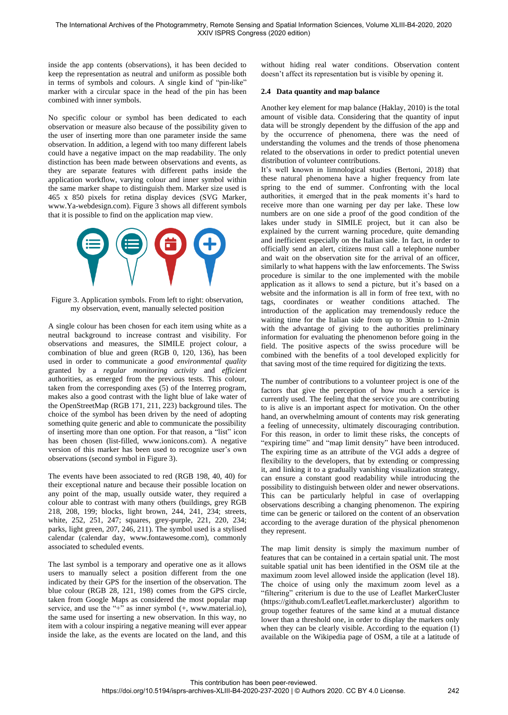inside the app contents (observations), it has been decided to keep the representation as neutral and uniform as possible both in terms of symbols and colours. A single kind of "pin-like" marker with a circular space in the head of the pin has been combined with inner symbols.

No specific colour or symbol has been dedicated to each observation or measure also because of the possibility given to the user of inserting more than one parameter inside the same observation. In addition, a legend with too many different labels could have a negative impact on the map readability. The only distinction has been made between observations and events, as they are separate features with different paths inside the application workflow, varying colour and inner symbol within the same marker shape to distinguish them. Marker size used is 465 x 850 pixels for retina display devices (SVG Marker, www.Ya-webdesign.com). Figure 3 shows all different symbols that it is possible to find on the application map view.



Figure 3. Application symbols. From left to right: observation, my observation, event, manually selected position

A single colour has been chosen for each item using white as a neutral background to increase contrast and visibility. For observations and measures, the SIMILE project colour, a combination of blue and green (RGB 0, 120, 136), has been used in order to communicate a *good environmental quality* granted by a *regular monitoring activity* and *efficient* authorities, as emerged from the previous tests. This colour, taken from the corresponding axes (5) of the Interreg program, makes also a good contrast with the light blue of lake water of the OpenStreetMap (RGB 171, 211, 223) background tiles. The choice of the symbol has been driven by the need of adopting something quite generic and able to communicate the possibility of inserting more than one option. For that reason, a "list" icon has been chosen (list-filled, www.ionicons.com). A negative version of this marker has been used to recognize user's own observations (second symbol in Figure 3).

The events have been associated to red (RGB 198, 40, 40) for their exceptional nature and because their possible location on any point of the map, usually outside water, they required a colour able to contrast with many others (buildings, grey RGB 218, 208, 199; blocks, light brown, 244, 241, 234; streets, white, 252, 251, 247; squares, grey-purple, 221, 220, 234; parks, light green, 207, 246, 211). The symbol used is a stylised calendar (calendar day, www.fontawesome.com), commonly associated to scheduled events.

The last symbol is a temporary and operative one as it allows users to manually select a position different from the one indicated by their GPS for the insertion of the observation. The blue colour (RGB 28, 121, 198) comes from the GPS circle, taken from Google Maps as considered the most popular map service, and use the "+ $\overline{v}$  as inner symbol (+, www.material.io), the same used for inserting a new observation. In this way, no item with a colour inspiring a negative meaning will ever appear inside the lake, as the events are located on the land, and this without hiding real water conditions. Observation content doesn't affect its representation but is visible by opening it.

# **2.4 Data quantity and map balance**

Another key element for map balance (Haklay, 2010) is the total amount of visible data. Considering that the quantity of input data will be strongly dependent by the diffusion of the app and by the occurrence of phenomena, there was the need of understanding the volumes and the trends of those phenomena related to the observations in order to predict potential uneven distribution of volunteer contributions.

It's well known in limnological studies (Bertoni, 2018) that these natural phenomena have a higher frequency from late spring to the end of summer. Confronting with the local authorities, it emerged that in the peak moments it's hard to receive more than one warning per day per lake. These low numbers are on one side a proof of the good condition of the lakes under study in SIMILE project, but it can also be explained by the current warning procedure, quite demanding and inefficient especially on the Italian side. In fact, in order to officially send an alert, citizens must call a telephone number and wait on the observation site for the arrival of an officer, similarly to what happens with the law enforcements. The Swiss procedure is similar to the one implemented with the mobile application as it allows to send a picture, but it's based on a website and the information is all in form of free text, with no tags, coordinates or weather conditions attached. The introduction of the application may tremendously reduce the waiting time for the Italian side from up to 30min to 1-2min with the advantage of giving to the authorities preliminary information for evaluating the phenomenon before going in the field. The positive aspects of the swiss procedure will be combined with the benefits of a tool developed explicitly for that saving most of the time required for digitizing the texts.

The number of contributions to a volunteer project is one of the factors that give the perception of how much a service is currently used. The feeling that the service you are contributing to is alive is an important aspect for motivation. On the other hand, an overwhelming amount of contents may risk generating a feeling of unnecessity, ultimately discouraging contribution. For this reason, in order to limit these risks, the concepts of "expiring time" and "map limit density" have been introduced. The expiring time as an attribute of the VGI adds a degree of flexibility to the developers, that by extending or compressing it, and linking it to a gradually vanishing visualization strategy, can ensure a constant good readability while introducing the possibility to distinguish between older and newer observations. This can be particularly helpful in case of overlapping observations describing a changing phenomenon. The expiring time can be generic or tailored on the content of an observation according to the average duration of the physical phenomenon they represent.

The map limit density is simply the maximum number of features that can be contained in a certain spatial unit. The most suitable spatial unit has been identified in the OSM tile at the maximum zoom level allowed inside the application (level 18). The choice of using only the maximum zoom level as a "filtering" criterium is due to the use of Leaflet MarkerCluster (https://github.com/Leaflet/Leaflet.markercluster) algorithm to group together features of the same kind at a mutual distance lower than a threshold one, in order to display the markers only when they can be clearly visible. According to the equation (1) available on the Wikipedia page of OSM, a tile at a latitude of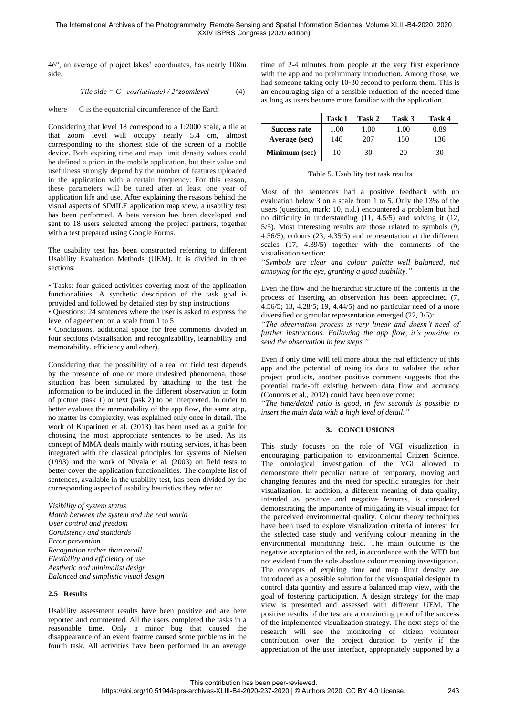46°, an average of project lakes' coordinates, has nearly 108m side.

#### *Tile side* =  $C \cdot \cos(\theta) / 2^x$ *zoomlevel* (4)

where C is the equatorial circumference of the Earth

Considering that level 18 correspond to a 1:2000 scale, a tile at that zoom level will occupy nearly 5.4 cm, almost corresponding to the shortest side of the screen of a mobile device. Both expiring time and map limit density values could be defined a priori in the mobile application, but their value and usefulness strongly depend by the number of features uploaded in the application with a certain frequency. For this reason, these parameters will be tuned after at least one year of application life and use. After explaining the reasons behind the visual aspects of SIMILE application map view, a usability test has been performed. A beta version has been developed and sent to 18 users selected among the project partners, together with a test prepared using Google Forms.

The usability test has been constructed referring to different Usability Evaluation Methods (UEM). It is divided in three sections:

• Tasks: four guided activities covering most of the application functionalities. A synthetic description of the task goal is provided and followed by detailed step by step instructions

• Questions: 24 sentences where the user is asked to express the level of agreement on a scale from 1 to 5

• Conclusions, additional space for free comments divided in four sections (visualisation and recognizability, learnability and memorability, efficiency and other).

Considering that the possibility of a real on field test depends by the presence of one or more undesired phenomena, those situation has been simulated by attaching to the test the information to be included in the different observation in form of picture (task 1) or text (task 2) to be interpreted. In order to better evaluate the memorability of the app flow, the same step, no matter its complexity, was explained only once in detail. The work of Kuparinen et al. (2013) has been used as a guide for choosing the most appropriate sentences to be used. As its concept of MMA deals mainly with routing services, it has been integrated with the classical principles for systems of Nielsen (1993) and the work of Nivala et al. (2003) on field tests to better cover the application functionalities. The complete list of sentences, available in the usability test, has been divided by the corresponding aspect of usability heuristics they refer to:

*Visibility of system status Match between the system and the real world User control and freedom Consistency and standards Error prevention Recognition rather than recall Flexibility and efficiency of use Aesthetic and minimalist design Balanced and simplistic visual design*

# **2.5 Results**

Usability assessment results have been positive and are here reported and commented. All the users completed the tasks in a reasonable time. Only a minor bug that caused the disappearance of an event feature caused some problems in the fourth task. All activities have been performed in an average time of 2-4 minutes from people at the very first experience with the app and no preliminary introduction. Among those, we had someone taking only 10-30 second to perform them. This is an encouraging sign of a sensible reduction of the needed time as long as users become more familiar with the application.

|                     | Task 1 | Task 2 | Task 3 | Task 4 |
|---------------------|--------|--------|--------|--------|
| <b>Success rate</b> | 1.00   | 1.00   | 1.00   | 0.89   |
| Average (sec)       | 146    | 207    | 150    | 136    |
| Minimum (sec)       | 10     | 30     | 20     | 30     |

#### Table 5. Usability test task results

Most of the sentences had a positive feedback with no evaluation below 3 on a scale from 1 to 5. Only the 13% of the users (question, mark: 10, n.d.) encountered a problem but had no difficulty in understanding (11, 4.5/5) and solving it (12, 5/5). Most interesting results are those related to symbols (9, 4.56/5), colours (23, 4.35/5) and representation at the different scales (17, 4.39/5) together with the comments of the visualisation section:

*"Symbols are clear and colour palette well balanced, not annoying for the eye, granting a good usability."*

Even the flow and the hierarchic structure of the contents in the process of inserting an observation has been appreciated (7, 4.56/5; 13, 4.28/5; 19, 4.44/5) and no particular need of a more diversified or granular representation emerged (22, 3/5):

*"The observation process is very linear and doesn't need of further instructions. Following the app flow, it's possible to send the observation in few steps."*

Even if only time will tell more about the real efficiency of this app and the potential of using its data to validate the other project products, another positive comment suggests that the potential trade-off existing between data flow and accuracy (Connors et al., 2012) could have been overcome:

*"The time/detail ratio is good, in few seconds is possible to insert the main data with a high level of detail."*

# **3. CONCLUSIONS**

This study focuses on the role of VGI visualization in encouraging participation to environmental Citizen Science. The ontological investigation of the VGI allowed to demonstrate their peculiar nature of temporary, moving and changing features and the need for specific strategies for their visualization. In addition, a different meaning of data quality, intended as positive and negative features, is considered demonstrating the importance of mitigating its visual impact for the perceived environmental quality. Colour theory techniques have been used to explore visualization criteria of interest for the selected case study and verifying colour meaning in the environmental monitoring field. The main outcome is the negative acceptation of the red, in accordance with the WFD but not evident from the sole absolute colour meaning investigation. The concepts of expiring time and map limit density are introduced as a possible solution for the visuospatial designer to control data quantity and assure a balanced map view, with the goal of fostering participation. A design strategy for the map view is presented and assessed with different UEM. The positive results of the test are a convincing proof of the success of the implemented visualization strategy. The next steps of the research will see the monitoring of citizen volunteer contribution over the project duration to verify if the appreciation of the user interface, appropriately supported by a